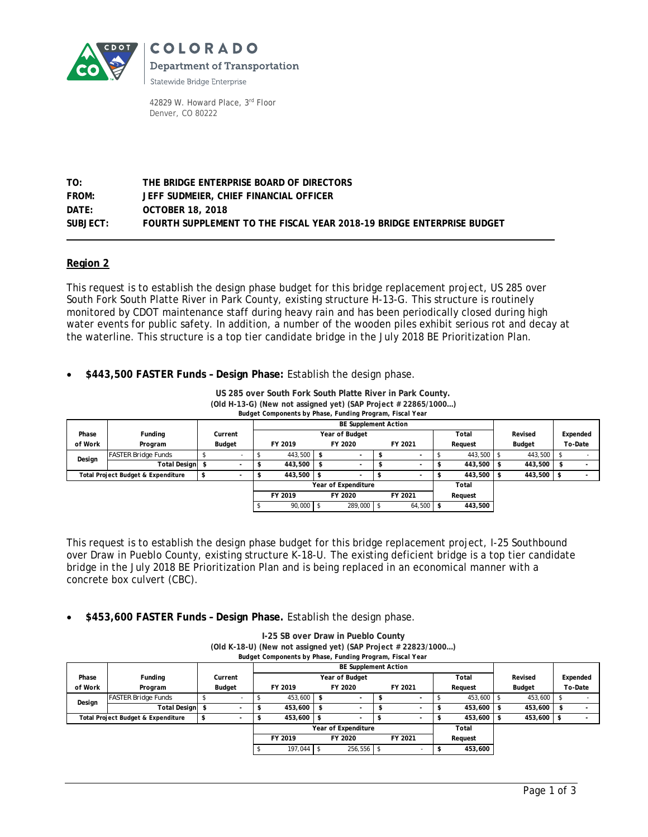

COLORADO **Department of Transportation** 

Statewide Bridge Enterprise

42829 W. Howard Place, 3rd Floor Denver, CO 80222

# **TO: THE BRIDGE ENTERPRISE BOARD OF DIRECTORS FROM: JEFF SUDMEIER, CHIEF FINANCIAL OFFICER DATE: OCTOBER 18, 2018 SUBJECT: FOURTH SUPPLEMENT TO THE FISCAL YEAR 2018-19 BRIDGE ENTERPRISE BUDGET**

## **Region 2**

This request is to establish the design phase budget for this bridge replacement project, US 285 over South Fork South Platte River in Park County, existing structure H-13-G. This structure is routinely monitored by CDOT maintenance staff during heavy rain and has been periodically closed during high water events for public safety. In addition, a number of the wooden piles exhibit serious rot and decay at the waterline. This structure is a top tier candidate bridge in the July 2018 BE Prioritization Plan.

**\$443,500 FASTER Funds – Design Phase:** Establish the design phase.

### **US 285 over South Fork South Platte River in Park County. (Old H-13-G) (New not assigned yet) (SAP Project # 22865/1000…)**

*Budget Components by Phase, Funding Program, Fiscal Year*

|                                    |                            |                   |                     | <b>BE Supplement Action</b> |                         |         |            |         |                          |         |            |               |         |          |  |
|------------------------------------|----------------------------|-------------------|---------------------|-----------------------------|-------------------------|---------|------------|---------|--------------------------|---------|------------|---------------|---------|----------|--|
| Phase                              | Funding                    | Current<br>Budget |                     |                             | Year of Budget<br>Total |         |            |         |                          |         |            | Revised       |         | Expended |  |
| of Work                            | Program                    |                   |                     | FY 2019                     |                         | FY 2020 |            | FY 2021 |                          | Request |            | <b>Budget</b> |         | To-Date  |  |
| Design                             | <b>FASTER Bridge Funds</b> |                   |                     |                             | 443,500                 | -S      |            |         |                          |         | 443,500 \$ |               | 443,500 |          |  |
|                                    | Total Design               |                   | $\sim$              |                             | 443,500                 | -\$     |            |         | $\overline{\phantom{a}}$ |         | 443,500 \$ |               | 443,500 |          |  |
| Total Project Budget & Expenditure |                            |                   | $\blacksquare$      |                             | 443,500                 |         |            |         | $\overline{\phantom{a}}$ |         | 443,500    |               | 443,500 |          |  |
|                                    |                            |                   | Year of Expenditure |                             |                         |         |            |         |                          | Total   |            |               |         |          |  |
|                                    |                            |                   |                     | FY 2019                     |                         | FY 2020 |            | FY 2021 |                          | Reauest |            |               |         |          |  |
|                                    |                            |                   |                     |                             | 90,000                  |         | 289,000 \$ |         | 64,500                   |         | 443,500    |               |         |          |  |

This request is to establish the design phase budget for this bridge replacement project, I-25 Southbound over Draw in Pueblo County, existing structure K-18-U. The existing deficient bridge is a top tier candidate bridge in the July 2018 BE Prioritization Plan and is being replaced in an economical manner with a concrete box culvert (CBC).

**\$453,600 FASTER Funds – Design Phase.** Establish the design phase.

| Budget Components by Phase, Funding Program, Fiscal Year |                            |  |         |                             |            |      |                          |  |         |  |              |  |            |  |          |  |
|----------------------------------------------------------|----------------------------|--|---------|-----------------------------|------------|------|--------------------------|--|---------|--|--------------|--|------------|--|----------|--|
|                                                          |                            |  |         | <b>BE Supplement Action</b> |            |      |                          |  |         |  |              |  |            |  |          |  |
| Phase                                                    | Funding                    |  | Current | Year of Budget<br>Total     |            |      |                          |  |         |  |              |  | Revised    |  | Expended |  |
| of Work                                                  | Program                    |  | Budget  | FY 2019                     |            |      | FY 2020                  |  | FY 2021 |  | Request      |  | Budget     |  | To-Date  |  |
| Design                                                   | <b>FASTER Bridge Funds</b> |  |         |                             | 453.600    |      |                          |  |         |  | 453,600 \$   |  | 453.600    |  |          |  |
|                                                          | Total Design \$            |  |         |                             | 453.600    |      |                          |  |         |  | 453,600 \$   |  | 453,600    |  |          |  |
| Total Project Budget & Expenditure                       |                            |  | $\sim$  |                             | 453.600    | - \$ | $\overline{\phantom{a}}$ |  |         |  | $453.600$ \$ |  | 453,600 \$ |  |          |  |
|                                                          |                            |  |         | Year of Expenditure         |            |      |                          |  |         |  | Total        |  |            |  |          |  |
|                                                          |                            |  |         |                             | FY 2019    |      | FY 2020                  |  | FY 2021 |  | Request      |  |            |  |          |  |
|                                                          |                            |  |         |                             | 197.044 \$ |      | $256,556$ \$             |  |         |  | 453,600      |  |            |  |          |  |

**I-25 SB over Draw in Pueblo County (Old K-18-U) (New not assigned yet) (SAP Project # 22823/1000…)**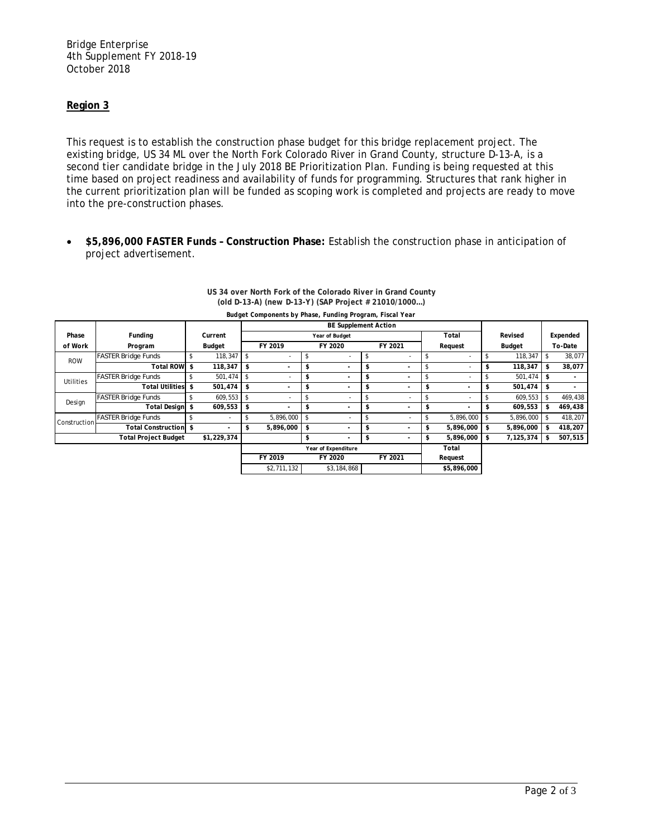Bridge Enterprise 4th Supplement FY 2018-19 October 2018

## **Region 3**

This request is to establish the construction phase budget for this bridge replacement project. The existing bridge, US 34 ML over the North Fork Colorado River in Grand County, structure D-13-A, is a second tier candidate bridge in the July 2018 BE Prioritization Plan. Funding is being requested at this time based on project readiness and availability of funds for programming. Structures that rank higher in the current prioritization plan will be funded as scoping work is completed and projects are ready to move into the pre-construction phases.

 **\$5,896,000 FASTER Funds – Construction Phase:** Establish the construction phase in anticipation of project advertisement.

| Budget Components by Phase, Funding Program, Fiscal Year |                             |        |             |                             |                |         |                          |         |                          |         |                          |        |           |         |         |
|----------------------------------------------------------|-----------------------------|--------|-------------|-----------------------------|----------------|---------|--------------------------|---------|--------------------------|---------|--------------------------|--------|-----------|---------|---------|
|                                                          |                             |        |             | <b>BE Supplement Action</b> |                |         |                          |         |                          |         |                          |        |           |         |         |
| Phase                                                    | Funding                     |        | Current     |                             |                |         | Year of Budget           |         | Total                    |         | Revised                  |        | Expended  |         |         |
| of Work                                                  | Program                     | Budget |             | FY 2019                     |                | FY 2020 |                          | FY 2021 |                          | Request |                          | Budget |           | To-Date |         |
| <b>ROW</b>                                               | <b>FASTER Bridge Funds</b>  | \$     | 118,347     | -\$                         |                |         |                          | \$      |                          |         | $\overline{a}$           | \$     | 118,347   |         | 38,077  |
|                                                          | <b>Total ROW</b>            | \$     | 118,347     | \$                          |                | \$      | ۰                        | \$      |                          |         | ۰                        | \$     | 118,347   | \$      | 38,077  |
| <b>Utilities</b>                                         | <b>FASTER Bridge Funds</b>  |        | 501,474 \$  |                             |                | \$      | $\overline{\phantom{a}}$ | \$      |                          |         | $\overline{\phantom{a}}$ |        | 501,474   | \$      |         |
|                                                          | <b>Total Utilities</b>      | \$     | 501,474     | \$                          |                | \$      | $\overline{\phantom{a}}$ | \$      | $\overline{\phantom{a}}$ | \$      | $\overline{a}$           | \$     | 501,474   | \$.     |         |
| Design                                                   | <b>FASTER Bridge Funds</b>  |        | 609,553     | \$                          |                |         | $\overline{\phantom{a}}$ |         |                          |         | ۰                        |        | 609,553   |         | 469,438 |
|                                                          | Total Design \$             |        | 609,553     | \$                          |                | \$      | ۰                        | \$      |                          |         |                          | \$     | 609,553   | \$      | 469,438 |
| <b>Construction</b>                                      | <b>FASTER Bridge Funds</b>  |        | ٠           |                             | $5,896,000$ \$ |         | $\overline{\phantom{a}}$ |         |                          |         | 5,896,000                |        | 5,896,000 |         | 418,207 |
|                                                          | <b>Total Construction</b>   | \$     |             |                             | 5,896,000      | \$      | $\overline{\phantom{a}}$ | \$      |                          | ъ       | 5,896,000                | \$     | 5,896,000 |         | 418,207 |
|                                                          | <b>Total Project Budget</b> |        | \$1,229,374 |                             |                | \$      | ۰                        | \$      |                          | S       | 5,896,000                | \$     | 7,125,374 | \$      | 507,515 |
|                                                          |                             |        |             | Year of Expenditure         |                |         |                          |         |                          |         | Total                    |        |           |         |         |
|                                                          |                             |        |             | FY 2019<br>FY 2020          |                |         |                          | FY 2021 |                          |         | Request                  |        |           |         |         |
|                                                          |                             |        |             |                             | \$2,711,132    |         | \$3,184,868              |         |                          |         | \$5,896,000              |        |           |         |         |

#### **US 34 over North Fork of the Colorado River in Grand County (old D-13-A) (new D-13-Y) (SAP Project # 21010/1000…)**